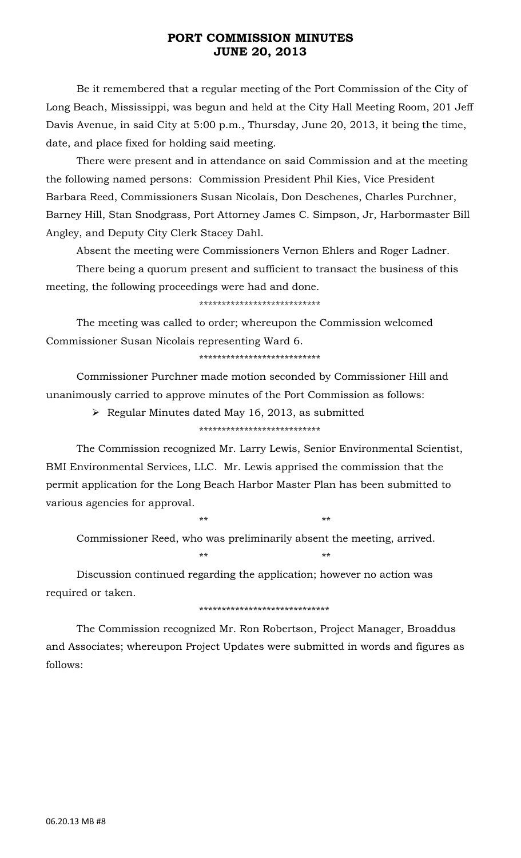Be it remembered that a regular meeting of the Port Commission of the City of Long Beach, Mississippi, was begun and held at the City Hall Meeting Room, 201 Jeff Davis Avenue, in said City at 5:00 p.m., Thursday, June 20, 2013, it being the time, date, and place fixed for holding said meeting.

 There were present and in attendance on said Commission and at the meeting the following named persons: Commission President Phil Kies, Vice President Barbara Reed, Commissioners Susan Nicolais, Don Deschenes, Charles Purchner, Barney Hill, Stan Snodgrass, Port Attorney James C. Simpson, Jr, Harbormaster Bill Angley, and Deputy City Clerk Stacey Dahl.

Absent the meeting were Commissioners Vernon Ehlers and Roger Ladner.

 There being a quorum present and sufficient to transact the business of this meeting, the following proceedings were had and done.

\*\*\*\*\*\*\*\*\*\*\*\*\*\*\*\*\*\*\*\*\*\*\*\*\*\*\*

 The meeting was called to order; whereupon the Commission welcomed Commissioner Susan Nicolais representing Ward 6.

\*\*\*\*\*\*\*\*\*\*\*\*\*\*\*\*\*\*\*\*\*\*\*\*\*\*\*

 Commissioner Purchner made motion seconded by Commissioner Hill and unanimously carried to approve minutes of the Port Commission as follows:

¾ Regular Minutes dated May 16, 2013, as submitted

\*\*\*\*\*\*\*\*\*\*\*\*\*\*\*\*\*\*\*\*\*\*\*\*\*\*\*

 The Commission recognized Mr. Larry Lewis, Senior Environmental Scientist, BMI Environmental Services, LLC. Mr. Lewis apprised the commission that the permit application for the Long Beach Harbor Master Plan has been submitted to various agencies for approval.

 $**$  \*\* \*\* \*\*

 Commissioner Reed, who was preliminarily absent the meeting, arrived.  $**$  \*\* \*\* \*\*

 Discussion continued regarding the application; however no action was required or taken.

\*\*\*\*\*\*\*\*\*\*\*\*\*\*\*\*\*\*\*\*\*\*\*\*\*\*\*\*\*

 The Commission recognized Mr. Ron Robertson, Project Manager, Broaddus and Associates; whereupon Project Updates were submitted in words and figures as follows: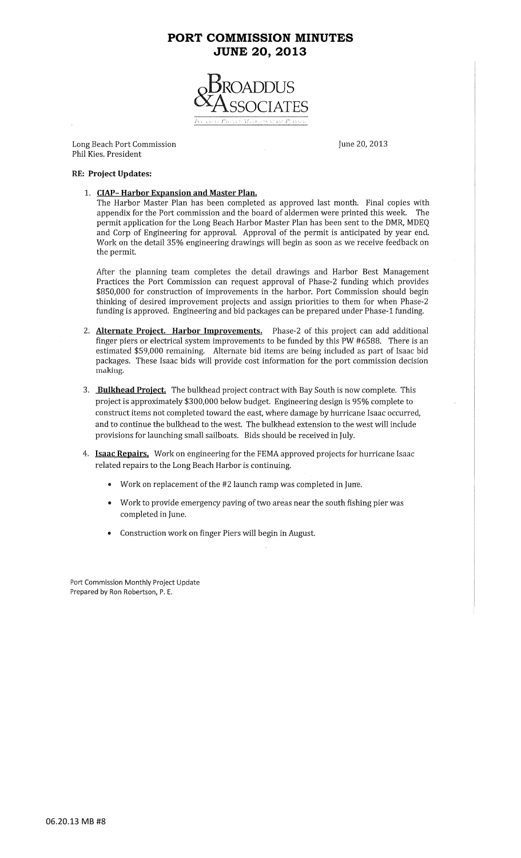

Long Beach Port Commission Phil Kies. President

June 20, 2013

#### **RE: Project Updates:**

1. CIAP-Harbor Expansion and Master Plan.

The Harbor Master Plan has been completed as approved last month. Final copies with appendix for the Port commission and the board of aldermen were printed this week. The permit application for the Long Beach Harbor Master Plan has been sent to the DMR, MDEQ and Corp of Engineering for approval. Approval of the permit is anticipated by year end. Work on the detail 35% engineering drawings will begin as soon as we receive feedback on the permit.

After the planning team completes the detail drawings and Harbor Best Management Practices the Port Commission can request approval of Phase-2 funding which provides \$850,000 for construction of improvements in the harbor. Port Commission should begin thinking of desired improvement projects and assign priorities to them for when Phase-2 funding is approved. Engineering and bid packages can be prepared under Phase-1 funding.

- Alternate Project. Harbor Improvements. Phase-2 of this project can add additional 2. finger piers or electrical system improvements to be funded by this PW #6588. There is an estimated \$59,000 remaining. Alternate bid items are being included as part of Isaac bid packages. These Isaac bids will provide cost information for the port commission decision making.
- 3. Bulkhead Project. The bulkhead project contract with Bay South is now complete. This project is approximately \$300,000 below budget. Engineering design is 95% complete to construct items not completed toward the east, where damage by hurricane Isaac occurred, and to continue the bulkhead to the west. The bulkhead extension to the west will include provisions for launching small sailboats. Bids should be received in July.
- 4. Isaac Repairs. Work on engineering for the FEMA approved projects for hurricane Isaac related repairs to the Long Beach Harbor is continuing.
	- Work on replacement of the #2 launch ramp was completed in June.
	- Work to provide emergency paving of two areas near the south fishing pier was completed in June.
	- Construction work on finger Piers will begin in August.  $\bullet$

Port Commission Monthly Project Update Prepared by Ron Robertson, P. E.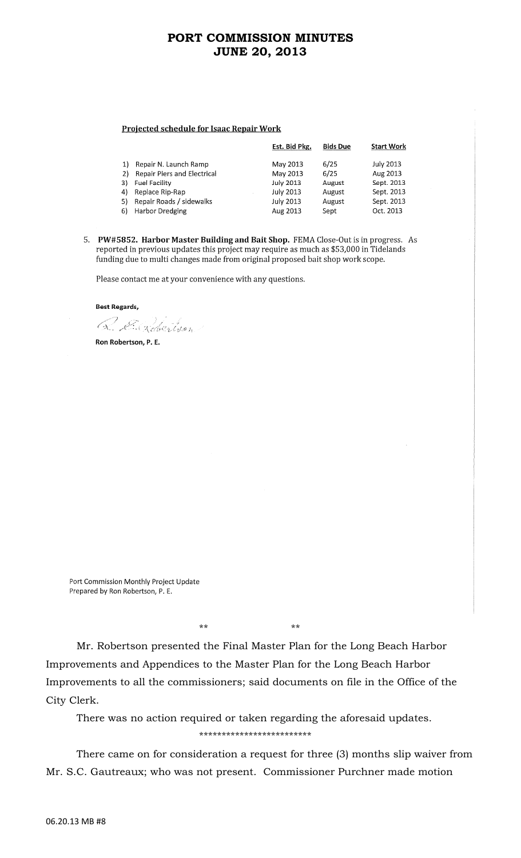#### **Projected schedule for Isaac Repair Work**

|    |                             | Est. Bid Pkg.    | <b>Bids Due</b> | <b>Start Work</b> |
|----|-----------------------------|------------------|-----------------|-------------------|
| 1) | Repair N. Launch Ramp       | May 2013         | 6/25            | <b>July 2013</b>  |
| 2) | Repair Piers and Electrical | May 2013         | 6/25            | Aug 2013          |
|    | 3) Fuel Facility            | <b>July 2013</b> | August          | Sept. 2013        |
| 4) | Replace Rip-Rap             | <b>July 2013</b> | August          | Sept. 2013        |
| 5) | Repair Roads / sidewalks    | <b>July 2013</b> | August          | Sept. 2013        |
|    | 6) Harbor Dredging          | Aug 2013         | Sept            | Oct. 2013         |

5. PW#5852. Harbor Master Building and Bait Shop. FEMA Close-Out is in progress. As reported in previous updates this project may require as much as \$53,000 in Tidelands funding due to multi changes made from original proposed bait shop work scope.

Please contact me at your convenience with any questions.

**Best Regards,** 

Q. E. Robertson

Ron Robertson, P. E.

Port Commission Monthly Project Update Prepared by Ron Robertson, P. E.

\*\* \*\*

 Mr. Robertson presented the Final Master Plan for the Long Beach Harbor Improvements and Appendices to the Master Plan for the Long Beach Harbor Improvements to all the commissioners; said documents on file in the Office of the City Clerk.

 There was no action required or taken regarding the aforesaid updates. \*\*\*\*\*\*\*\*\*\*\*\*\*\*\*\*\*\*\*\*\*\*\*\*\*

 There came on for consideration a request for three (3) months slip waiver from Mr. S.C. Gautreaux; who was not present. Commissioner Purchner made motion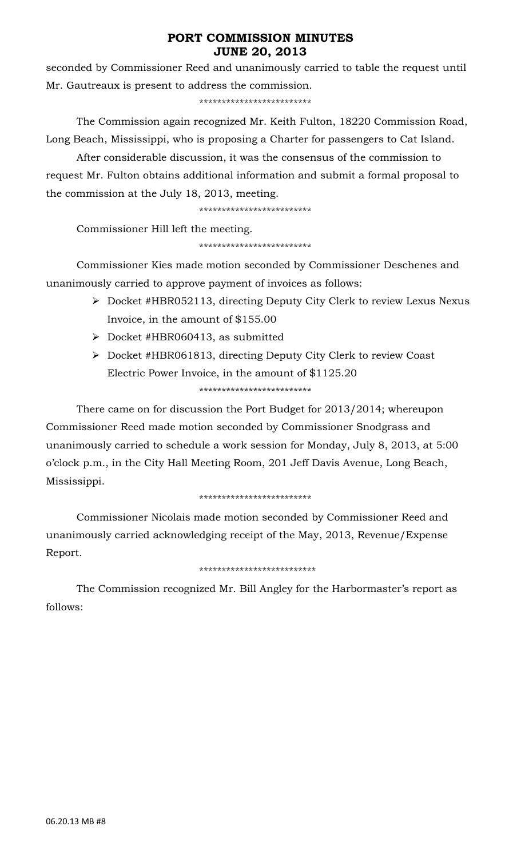seconded by Commissioner Reed and unanimously carried to table the request until Mr. Gautreaux is present to address the commission.

\*\*\*\*\*\*\*\*\*\*\*\*\*\*\*\*\*\*\*\*\*\*\*\*\*

 The Commission again recognized Mr. Keith Fulton, 18220 Commission Road, Long Beach, Mississippi, who is proposing a Charter for passengers to Cat Island.

 After considerable discussion, it was the consensus of the commission to request Mr. Fulton obtains additional information and submit a formal proposal to the commission at the July 18, 2013, meeting.

\*\*\*\*\*\*\*\*\*\*\*\*\*\*\*\*\*\*\*\*\*\*\*\*\*

Commissioner Hill left the meeting.

#### \*\*\*\*\*\*\*\*\*\*\*\*\*\*\*\*\*\*\*\*\*\*\*\*\*

 Commissioner Kies made motion seconded by Commissioner Deschenes and unanimously carried to approve payment of invoices as follows:

- ¾ Docket #HBR052113, directing Deputy City Clerk to review Lexus Nexus Invoice, in the amount of \$155.00
- ¾ Docket #HBR060413, as submitted
- ¾ Docket #HBR061813, directing Deputy City Clerk to review Coast Electric Power Invoice, in the amount of \$1125.20 \*\*\*\*\*\*\*\*\*\*\*\*\*\*\*\*\*\*\*\*\*\*\*\*\*

 There came on for discussion the Port Budget for 2013/2014; whereupon Commissioner Reed made motion seconded by Commissioner Snodgrass and unanimously carried to schedule a work session for Monday, July 8, 2013, at 5:00 o'clock p.m., in the City Hall Meeting Room, 201 Jeff Davis Avenue, Long Beach, Mississippi.

## \*\*\*\*\*\*\*\*\*\*\*\*\*\*\*\*\*\*\*\*\*\*\*\*\*

 Commissioner Nicolais made motion seconded by Commissioner Reed and unanimously carried acknowledging receipt of the May, 2013, Revenue/Expense Report.

## \*\*\*\*\*\*\*\*\*\*\*\*\*\*\*\*\*\*\*\*\*\*\*\*\*\*

 The Commission recognized Mr. Bill Angley for the Harbormaster's report as follows: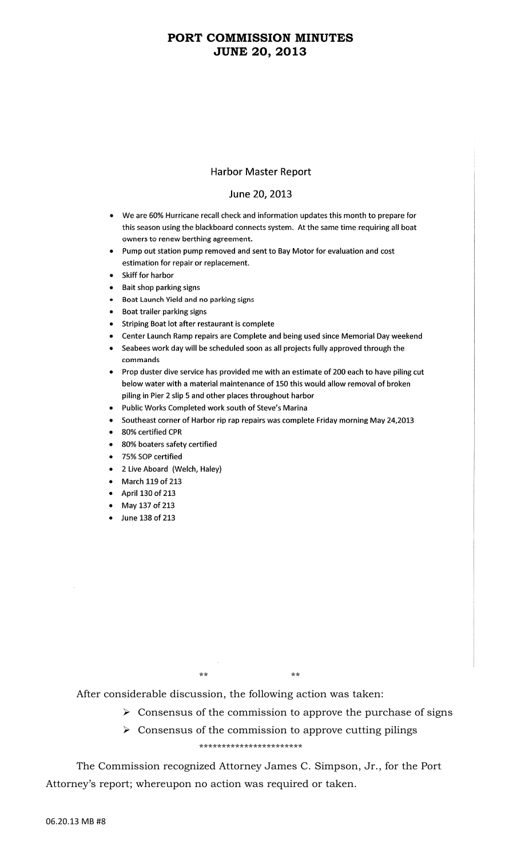#### **Harbor Master Report**

#### June 20, 2013

- We are 60% Hurricane recall check and information updates this month to prepare for this season using the blackboard connects system. At the same time requiring all boat owners to renew berthing agreement.
- Pump out station pump removed and sent to Bay Motor for evaluation and cost estimation for repair or replacement.
- Skiff for harbor
- Bait shop parking signs
- Boat Launch Yield and no parking signs
- Boat trailer parking signs
- Striping Boat lot after restaurant is complete
- Center Launch Ramp repairs are Complete and being used since Memorial Day weekend
- Seabees work day will be scheduled soon as all projects fully approved through the commands
- Prop duster dive service has provided me with an estimate of 200 each to have piling cut below water with a material maintenance of 150 this would allow removal of broken piling in Pier 2 slip 5 and other places throughout harbor
- . Public Works Completed work south of Steve's Marina
- Southeast corner of Harbor rip rap repairs was complete Friday morning May 24,2013
- 80% certified CPR
- 80% boaters safety certified
- 75% SOP certified
- 2 Live Aboard (Welch, Haley)
- March 119 of 213
- April 130 of 213
- May 137 of 213
- June 138 of 213

 $***$ 

After considerable discussion, the following action was taken:

 $***$ 

 $\triangleright$  Consensus of the commission to approve the purchase of signs

#### $\triangleright$  Consensus of the commission to approve cutting pilings \*\*\*\*\*\*\*\*\*\*\*\*\*\*\*\*\*\*\*\*\*\*\*

The Commission recognized Attorney James C. Simpson, Jr., for the Port Attorney's report; whereupon no action was required or taken.